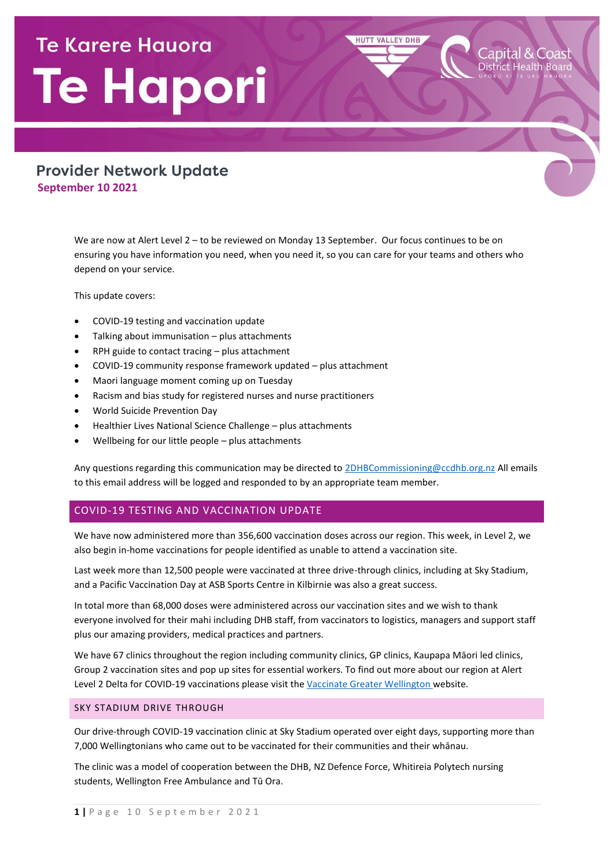# **Te Karere Hauora** Te Hapori

# **Provider Network Update September 10 2021**

We are now at Alert Level 2 – to be reviewed on Monday 13 September. Our focus continues to be on ensuring you have information you need, when you need it, so you can care for your teams and others who depend on your service.

**HUTT VALLEY DHB** 

This update covers:

- COVID-19 testing and vaccination update
- Talking about immunisation plus attachments
- RPH guide to contact tracing plus attachment
- COVID-19 community response framework updated plus attachment
- Maori language moment coming up on Tuesday
- Racism and bias study for registered nurses and nurse practitioners
- World Suicide Prevention Day
- Healthier Lives National Science Challenge plus attachments
- Wellbeing for our little people plus attachments

Any questions regarding this communication may be directed t[o 2DHBCommissioning@ccdhb.org.nz](mailto:2DHBCommissioning@ccdhb.org.nz) All emails to this email address will be logged and responded to by an appropriate team member.

# COVID-19 TESTING AND VACCINATION UPDATE

We have now administered more than 356,600 vaccination doses across our region. This week, in Level 2, we also begin in-home vaccinations for people identified as unable to attend a vaccination site.

Last week more than 12,500 people were vaccinated at three drive-through clinics, including at Sky Stadium, and a Pacific Vaccination Day at ASB Sports Centre in Kilbirnie was also a great success.

In total more than 68,000 doses were administered across our vaccination sites and we wish to thank everyone involved for their mahi including DHB staff, from vaccinators to logistics, managers and support staff plus our amazing providers, medical practices and partners.

We have 67 clinics throughout the region including community clinics, GP clinics, Kaupapa Māori led clinics, Group 2 vaccination sites and pop up sites for essential workers. To find out more about our region at Alert Level 2 Delta for COVID-19 vaccinations please [visit the Vaccinate Greater Wellington website.](https://urldefense.com/v3/__https:/huttvalleydhb.us19.list-manage.com/track/click?u=4b7922c7dd650b85c6251830c&id=5ac5dab8ac&e=52e4b0b80a__;!!A3teau8g8Q!AOP3-Vh1DeR8A-STI0VceepyG2644fkmAZ7SsgPLh0hyRWLqPcRNiAb2MlEdyhviIpZv1yYrSw6q0w$)

#### SKY STADIUM DRIVE THROUGH

Our drive-through COVID-19 vaccination clinic a[t Sky Stadium](https://urldefense.com/v3/__https:/huttvalleydhb.us19.list-manage.com/track/click?u=4b7922c7dd650b85c6251830c&id=665e4f8049&e=52e4b0b80a__;!!A3teau8g8Q!AOP3-Vh1DeR8A-STI0VceepyG2644fkmAZ7SsgPLh0hyRWLqPcRNiAb2MlEdyhviIpZv1yYlxeO_1A$) operated over eight days, supporting more than 7,000 Wellingtonians who came out to be vaccinated for their communities and their whānau.

The clinic was a model of cooperation between the DHB, [NZ Defence Force,](https://urldefense.com/v3/__https:/huttvalleydhb.us19.list-manage.com/track/click?u=4b7922c7dd650b85c6251830c&id=556f56da32&e=52e4b0b80a__;!!A3teau8g8Q!AOP3-Vh1DeR8A-STI0VceepyG2644fkmAZ7SsgPLh0hyRWLqPcRNiAb2MlEdyhviIpZv1yb0lzVGfA$) [Whitireia](https://urldefense.com/v3/__https:/huttvalleydhb.us19.list-manage.com/track/click?u=4b7922c7dd650b85c6251830c&id=0a6dcbbc5e&e=52e4b0b80a__;!!A3teau8g8Q!AOP3-Vh1DeR8A-STI0VceepyG2644fkmAZ7SsgPLh0hyRWLqPcRNiAb2MlEdyhviIpZv1yYc_My0cg$) Polytech nursing students, [Wellington Free Ambulance](https://urldefense.com/v3/__https:/huttvalleydhb.us19.list-manage.com/track/click?u=4b7922c7dd650b85c6251830c&id=9626f3b1b2&e=52e4b0b80a__;!!A3teau8g8Q!AOP3-Vh1DeR8A-STI0VceepyG2644fkmAZ7SsgPLh0hyRWLqPcRNiAb2MlEdyhviIpZv1yZIE4PNJQ$) and [Tū Ora](https://urldefense.com/v3/__https:/huttvalleydhb.us19.list-manage.com/track/click?u=4b7922c7dd650b85c6251830c&id=7f5f5a12ba&e=52e4b0b80a__;!!A3teau8g8Q!AOP3-Vh1DeR8A-STI0VceepyG2644fkmAZ7SsgPLh0hyRWLqPcRNiAb2MlEdyhviIpZv1yZPnJ2fgw$).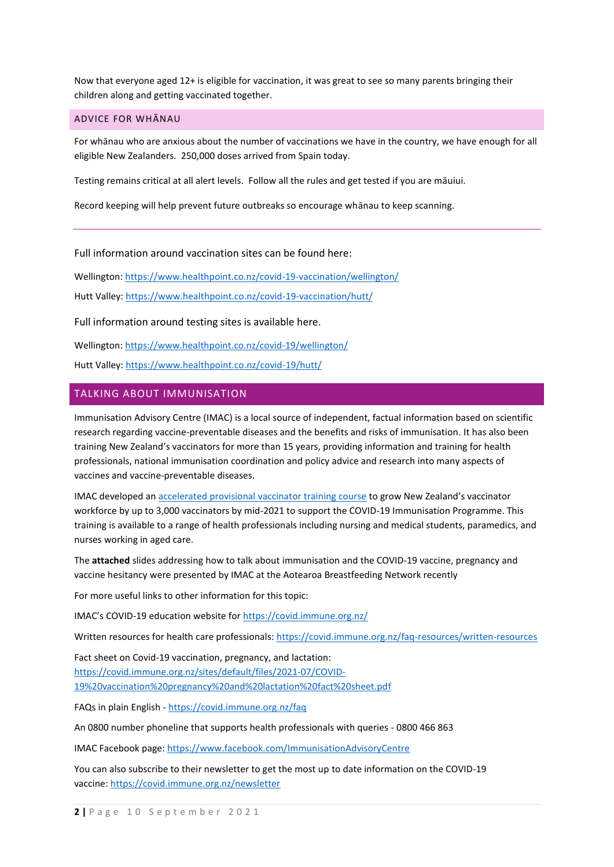Now that everyone aged 12+ is eligible for vaccination, it was great to see so many parents bringing their children along and getting vaccinated together.

#### ADVICE FOR WHĀNAU

For whānau who are anxious about the number of vaccinations we have in the country, we have enough for all eligible New Zealanders. 250,000 doses arrived from Spain today.

Testing remains critical at all alert levels. Follow all the rules and get tested if you are māuiui.

Record keeping will help prevent future outbreaks so encourage whānau to keep scanning.

Full information around vaccination sites can be found here:

Wellington[: https://www.healthpoint.co.nz/covid-19-vaccination/wellington/](https://www.healthpoint.co.nz/covid-19-vaccination/wellington/) Hutt Valley:<https://www.healthpoint.co.nz/covid-19-vaccination/hutt/>

Full information around testing sites is available here.

Wellington[: https://www.healthpoint.co.nz/covid-19/wellington/](https://www.healthpoint.co.nz/covid-19/wellington/)

Hutt Valley:<https://www.healthpoint.co.nz/covid-19/hutt/>

# TALKING ABOUT IMMUNISATION

Immunisation Advisory Centre (IMAC) is a local source of independent, factual information based on scientific research regarding vaccine-preventable diseases and the benefits and risks of immunisation. It has also been training New Zealand's vaccinators for more than 15 years, providing information and training for health professionals, national immunisation coordination and policy advice and research into many aspects of vaccines and vaccine-preventable diseases.

IMAC developed an [accelerated provisional vaccinator training course](https://covid.immune.org.nz/) to grow New Zealand's vaccinator workforce by up to 3,000 vaccinators by mid-2021 to support the COVID-19 Immunisation Programme. This training is available to a range of health professionals including nursing and medical students, paramedics, and nurses working in aged care.

The **attached** slides addressing how to talk about immunisation and the COVID-19 vaccine, pregnancy and vaccine hesitancy were presented by IMAC at the Aotearoa Breastfeeding Network recently

For more useful links to other information for this topic:

IMAC's COVID-19 education website for [https://covid.immune.org.nz/](https://urldefense.com/v3/__https:/covid.immune.org.nz/__;!!A3teau8g8Q!FCEjb7-Pf8JEFgYQ0MPLZVi_DtJcmKDRlei5Uo332T2wvrSlEj_uQFcMsy9vFjQ8kmcXFmMI$)

Written resources for health care professionals: [https://covid.immune.org.nz/faq-resources/written-resources](https://urldefense.com/v3/__https:/covid.immune.org.nz/faq-resources/written-resources__;!!A3teau8g8Q!FCEjb7-Pf8JEFgYQ0MPLZVi_DtJcmKDRlei5Uo332T2wvrSlEj_uQFcMsy9vFjQ8kowhgmX0$)

Fact sheet on Covid-19 vaccination, pregnancy, and lactation: [https://covid.immune.org.nz/sites/default/files/2021-07/COVID-](https://urldefense.com/v3/__https:/covid.immune.org.nz/sites/default/files/2021-07/COVID-19*20vaccination*20pregnancy*20and*20lactation*20fact*20sheet.pdf__;JSUlJSUl!!A3teau8g8Q!FCEjb7-Pf8JEFgYQ0MPLZVi_DtJcmKDRlei5Uo332T2wvrSlEj_uQFcMsy9vFjQ8kpdpJ7J0$)[19%20vaccination%20pregnancy%20and%20lactation%20fact%20sheet.pdf](https://urldefense.com/v3/__https:/covid.immune.org.nz/sites/default/files/2021-07/COVID-19*20vaccination*20pregnancy*20and*20lactation*20fact*20sheet.pdf__;JSUlJSUl!!A3teau8g8Q!FCEjb7-Pf8JEFgYQ0MPLZVi_DtJcmKDRlei5Uo332T2wvrSlEj_uQFcMsy9vFjQ8kpdpJ7J0$)

FAQs in plain English - [https://covid.immune.org.nz/faq](https://urldefense.com/v3/__https:/covid.immune.org.nz/faq__;!!A3teau8g8Q!FCEjb7-Pf8JEFgYQ0MPLZVi_DtJcmKDRlei5Uo332T2wvrSlEj_uQFcMsy9vFjQ8kgdFcoCr$)

An 0800 number phoneline that supports health professionals with queries - 0800 466 863

IMAC Facebook page: [https://www.facebook.com/ImmunisationAdvisoryCentre](https://urldefense.com/v3/__https:/www.facebook.com/ImmunisationAdvisoryCentre__;!!A3teau8g8Q!FCEjb7-Pf8JEFgYQ0MPLZVi_DtJcmKDRlei5Uo332T2wvrSlEj_uQFcMsy9vFjQ8khqYT1rL$)

You can also subscribe to their newsletter to get the most up to date information on the COVID-19 vaccine: [https://covid.immune.org.nz/newsletter](https://urldefense.com/v3/__https:/covid.immune.org.nz/newsletter__;!!A3teau8g8Q!FCEjb7-Pf8JEFgYQ0MPLZVi_DtJcmKDRlei5Uo332T2wvrSlEj_uQFcMsy9vFjQ8kvE0y8Re$)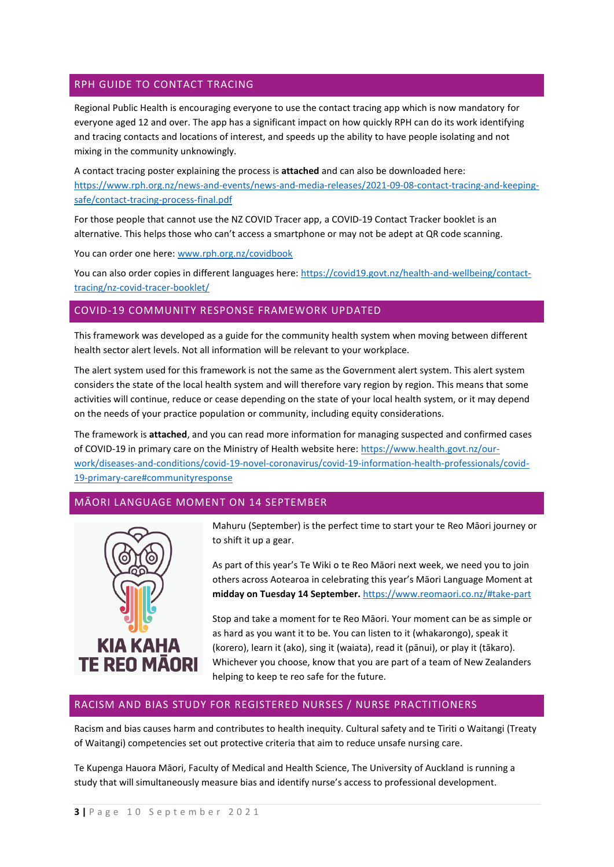# RPH GUIDE TO CONTACT TRACING

Regional Public Health is encouraging everyone to use the contact tracing app which is now mandatory for everyone aged 12 and over. The app has a significant impact on how quickly RPH can do its work identifying and tracing contacts and locations of interest, and speeds up the ability to have people isolating and not mixing in the community unknowingly.

A contact tracing poster explaining the process is **attached** and can also be downloaded here: [https://www.rph.org.nz/news-and-events/news-and-media-releases/2021-09-08-contact-tracing-and-keeping](https://www.rph.org.nz/news-and-events/news-and-media-releases/2021-09-08-contact-tracing-and-keeping-safe/contact-tracing-process-final.pdf)[safe/contact-tracing-process-final.pdf](https://www.rph.org.nz/news-and-events/news-and-media-releases/2021-09-08-contact-tracing-and-keeping-safe/contact-tracing-process-final.pdf)

For those people that cannot use the NZ COVID Tracer app, a COVID-19 Contact Tracker booklet is an alternative. This helps those who can't access a smartphone or may not be adept at QR code scanning.

You can order one here: [www.rph.org.nz/covidbook](http://www.rph.org.nz/covidbook)

You can also order copies in different languages here: [https://covid19.govt.nz/health-and-wellbeing/contact](https://covid19.govt.nz/health-and-wellbeing/contact-tracing/nz-covid-tracer-booklet/)[tracing/nz-covid-tracer-booklet/](https://covid19.govt.nz/health-and-wellbeing/contact-tracing/nz-covid-tracer-booklet/)

# COVID-19 COMMUNITY RESPONSE FRAMEWORK UPDATED

This framework was developed as a guide for the community health system when moving between different health sector alert levels. Not all information will be relevant to your workplace.

The alert system used for this framework is not the same as the Government alert system. This alert system considers the state of the local health system and will therefore vary region by region. This means that some activities will continue, reduce or cease depending on the state of your local health system, or it may depend on the needs of your practice population or community, including equity considerations.

The framework is **attached**, and you can read more information for managing suspected and confirmed cases of COVID-19 in primary care on the Ministry of Health website here: [https://www.health.govt.nz/our](https://www.health.govt.nz/our-work/diseases-and-conditions/covid-19-novel-coronavirus/covid-19-information-health-professionals/covid-19-primary-care#communityresponse)[work/diseases-and-conditions/covid-19-novel-coronavirus/covid-19-information-health-professionals/covid-](https://www.health.govt.nz/our-work/diseases-and-conditions/covid-19-novel-coronavirus/covid-19-information-health-professionals/covid-19-primary-care#communityresponse)[19-primary-care#communityresponse](https://www.health.govt.nz/our-work/diseases-and-conditions/covid-19-novel-coronavirus/covid-19-information-health-professionals/covid-19-primary-care#communityresponse)

# MĀORI LANGUAGE MOMENT ON 14 SEPTEMBER



Mahuru (September) is the perfect time to start your te Reo Māori journey or to shift it up a gear.

As part of this year's Te Wiki o te Reo Māori next week, we need you to join others across Aotearoa in celebrating this year's Māori Language Moment at **midday on Tuesday 14 September.** https://www.reomaori.co.nz/#take-part

Stop and take a moment for te Reo Māori. Your moment can be as simple or as hard as you want it to be. You can listen to it (whakarongo), speak it (korero), learn it (ako), sing it (waiata), read it (pānui), or play it (tākaro). Whichever you choose, know that you are part of a team of New Zealanders helping to keep te reo safe for the future.

# RACISM AND BIAS STUDY FOR REGISTERED NURSES / NURSE PRACTITIONERS

Racism and bias causes harm and contributes to health inequity. Cultural safety and te Tiriti o Waitangi (Treaty of Waitangi) competencies set out protective criteria that aim to reduce unsafe nursing care.

Te Kupenga Hauora Māori, Faculty of Medical and Health Science, The University of Auckland is running a study that will simultaneously measure bias and identify nurse's access to professional development.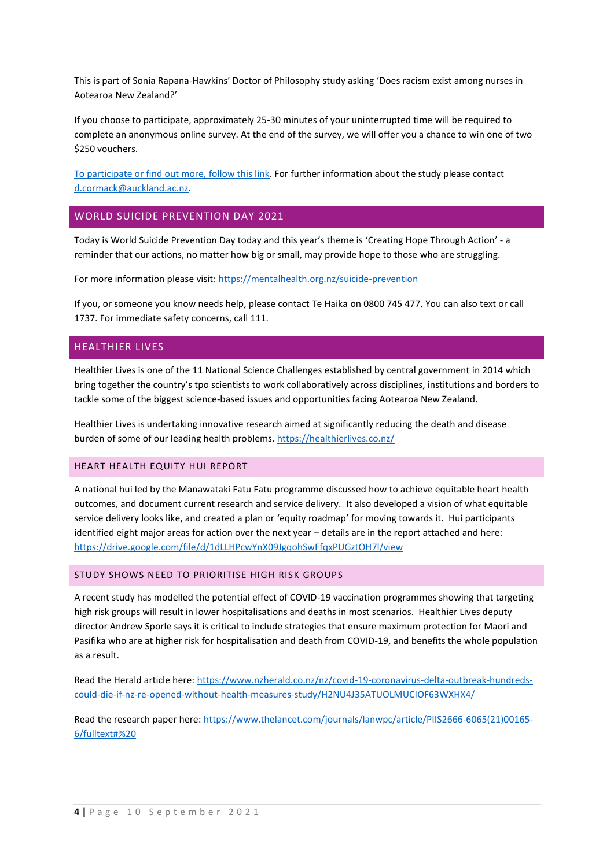This is part of Sonia Rapana-Hawkins' Doctor of Philosophy study asking 'Does racism exist among nurses in Aotearoa New Zealand?'

If you choose to participate, approximately 25-30 minutes of your uninterrupted time will be required to complete an anonymous online survey. At the end of the survey, we will offer you a chance to win one of two \$250 vouchers.

[To participate or find out more,](https://auckland.au1.qualtrics.com/jfe/form/SV_cwlBSieSEm8H6vk) follow this link. For further information about the study please contact [d.cormack@auckland.ac.nz.](mailto:d.cormack@auckland.ac.nz)

#### WORLD SUICIDE PREVENTION DAY 2021

Today is World Suicide Prevention Day today and this year's theme is 'Creating Hope Through Action' - a reminder that our actions, no matter how big or small, may provide hope to those who are struggling.

For more information please visit:<https://mentalhealth.org.nz/suicide-prevention>

If you, or someone you know needs help, please contact Te Haika on 0800 745 477. You can also text or call 1737. For immediate safety concerns, call 111.

# HEALTHIER LIVES

Healthier Lives is one of the 11 National Science Challenges established by central government in 2014 which bring together the country's tpo scientists to work collaboratively across disciplines, institutions and borders to tackle some of the biggest science-based issues and opportunities facing Aotearoa New Zealand.

Healthier Lives is undertaking innovative research aimed at significantly reducing the death and disease burden of some of our leading health problems. https://healthierlives.co.nz/

#### HEART HEALTH EQUITY HUI REPORT

A national hui led by the Manawataki Fatu Fatu programme discussed how to achieve equitable heart health outcomes, and document current research and service delivery. It also developed a vision of what equitable service delivery looks like, and created a plan or 'equity roadmap' for moving towards it. Hui participants identified eight major areas for action over the next year – details are in the report attached and here: <https://drive.google.com/file/d/1dLLHPcwYnX09JgqohSwFfqxPUGztOH7l/view>

#### STUDY SHOWS NEED TO PRIORITISE HIGH RISK GROUPS

A recent study has modelled the potential effect of COVID-19 vaccination programmes showing that targeting high risk groups will result in lower hospitalisations and deaths in most scenarios. Healthier Lives deputy director Andrew Sporle says it is critical to include strategies that ensure maximum protection for Maori and Pasifika who are at higher risk for hospitalisation and death from COVID-19, and benefits the whole population as a result.

Read the Herald article here: [https://www.nzherald.co.nz/nz/covid-19-coronavirus-delta-outbreak-hundreds](https://www.nzherald.co.nz/nz/covid-19-coronavirus-delta-outbreak-hundreds-could-die-if-nz-re-opened-without-health-measures-study/H2NU4J35ATUOLMUCIOF63WXHX4/)[could-die-if-nz-re-opened-without-health-measures-study/H2NU4J35ATUOLMUCIOF63WXHX4/](https://www.nzherald.co.nz/nz/covid-19-coronavirus-delta-outbreak-hundreds-could-die-if-nz-re-opened-without-health-measures-study/H2NU4J35ATUOLMUCIOF63WXHX4/)

Read the research paper here[: https://www.thelancet.com/journals/lanwpc/article/PIIS2666-6065\(21\)00165-](https://www.thelancet.com/journals/lanwpc/article/PIIS2666-6065(21)00165-6/fulltext#%20) [6/fulltext#%20](https://www.thelancet.com/journals/lanwpc/article/PIIS2666-6065(21)00165-6/fulltext#%20)